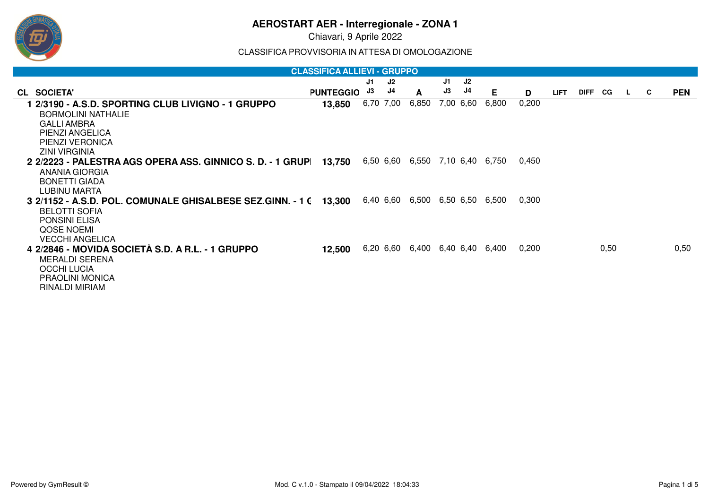Chiavari, 9 Aprile 2022

CLASSIFICA PROVVISORIA IN ATTESA DI OMOLOGAZIONE

| <b>CLASSIFICA ALLIEVI - GRUPPO</b>                                |                  |     |           |                                 |    |           |                 |       |             |         |      |              |    |            |
|-------------------------------------------------------------------|------------------|-----|-----------|---------------------------------|----|-----------|-----------------|-------|-------------|---------|------|--------------|----|------------|
|                                                                   |                  | J1. | J2        |                                 | J1 | J2        |                 |       |             |         |      |              |    |            |
| CL SOCIETA'                                                       | <b>PUNTEGGIO</b> | J3  | J4        | A                               | J3 | J4        | Е               | D     | <b>LIFT</b> | DIFF CG |      | $\mathbf{L}$ | C. | <b>PEN</b> |
| 1 2/3190 - A.S.D. SPORTING CLUB LIVIGNO - 1 GRUPPO                | 13,850           |     | 6,70 7,00 | 6,850                           |    | 7,00 6,60 | 6,800           | 0,200 |             |         |      |              |    |            |
| <b>BORMOLINI NATHALIE</b>                                         |                  |     |           |                                 |    |           |                 |       |             |         |      |              |    |            |
| <b>GALLI AMBRA</b>                                                |                  |     |           |                                 |    |           |                 |       |             |         |      |              |    |            |
| PIENZI ANGELICA                                                   |                  |     |           |                                 |    |           |                 |       |             |         |      |              |    |            |
| PIENZI VERONICA                                                   |                  |     |           |                                 |    |           |                 |       |             |         |      |              |    |            |
| <b>ZINI VIRGINIA</b>                                              |                  |     |           |                                 |    |           |                 |       |             |         |      |              |    |            |
| 2 2/2223 - PALESTRA AGS OPERA ASS. GINNICO S. D. - 1 GRUPI        | 13,750           |     |           | 6,50 6,60 6,550 7,10 6,40 6,750 |    |           |                 | 0,450 |             |         |      |              |    |            |
| ANANIA GIORGIA                                                    |                  |     |           |                                 |    |           |                 |       |             |         |      |              |    |            |
| BONETTI GIADA                                                     |                  |     |           |                                 |    |           |                 |       |             |         |      |              |    |            |
| LUBINU MARTA                                                      |                  |     |           |                                 |    |           |                 |       |             |         |      |              |    |            |
| 3 2/1152 - A.S.D. POL. COMUNALE GHISALBESE SEZ.GINN. - 1 ( 13,300 |                  |     | 6,40 6,60 | 6,500                           |    | 6,50 6,50 | 6.500           | 0,300 |             |         |      |              |    |            |
| <b>BELOTTI SOFIA</b>                                              |                  |     |           |                                 |    |           |                 |       |             |         |      |              |    |            |
| <b>PONSINI ELISA</b>                                              |                  |     |           |                                 |    |           |                 |       |             |         |      |              |    |            |
| QOSE NOEMI                                                        |                  |     |           |                                 |    |           |                 |       |             |         |      |              |    |            |
| <b>VECCHI ANGELICA</b>                                            |                  |     |           |                                 |    |           |                 |       |             |         |      |              |    |            |
| 4 2/2846 - MOVIDA SOCIETÀ S.D. A R.L. - 1 GRUPPO                  | 12,500           |     | 6,20 6,60 | 6,400                           |    |           | 6,40 6,40 6,400 | 0,200 |             |         | 0,50 |              |    | 0,50       |
| <b>MERALDI SERENA</b>                                             |                  |     |           |                                 |    |           |                 |       |             |         |      |              |    |            |
| <b>OCCHI LUCIA</b>                                                |                  |     |           |                                 |    |           |                 |       |             |         |      |              |    |            |
| <b>PRAOLINI MONICA</b>                                            |                  |     |           |                                 |    |           |                 |       |             |         |      |              |    |            |
| RINALDI MIRIAM                                                    |                  |     |           |                                 |    |           |                 |       |             |         |      |              |    |            |

நு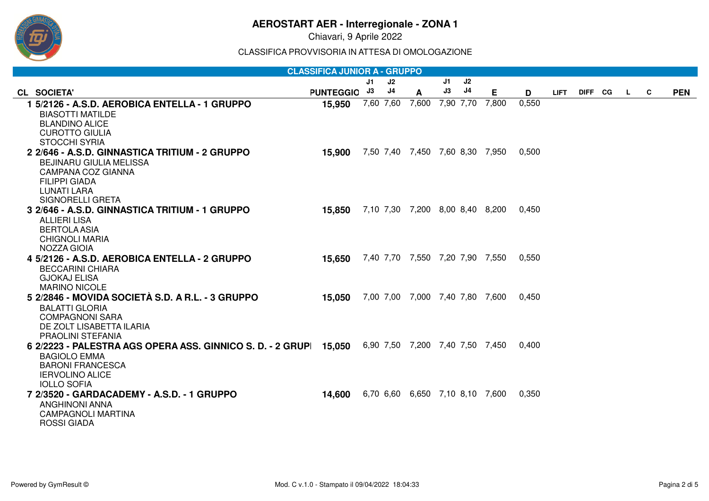

Chiavari, 9 Aprile 2022

CLASSIFICA PROVVISORIA IN ATTESA DI OMOLOGAZIONE

|                                                                                                  | <b>CLASSIFICA JUNIOR A - GRUPPO</b> |    |           |                  |           |    |                                 |       |             |         |              |   |            |
|--------------------------------------------------------------------------------------------------|-------------------------------------|----|-----------|------------------|-----------|----|---------------------------------|-------|-------------|---------|--------------|---|------------|
|                                                                                                  |                                     | J1 | J2        |                  | J1        | J2 |                                 |       |             |         |              |   |            |
| CL SOCIETA'                                                                                      | <b>PUNTEGGIO</b>                    | J3 | J4        | $\boldsymbol{A}$ | J3        | J4 | E.                              | D     | <b>LIFT</b> | DIFF CG | $\mathbf{L}$ | C | <b>PEN</b> |
| 1 5/2126 - A.S.D. AEROBICA ENTELLA - 1 GRUPPO                                                    | 15,950                              |    | 7,60 7,60 | 7,600            | 7,90 7,70 |    | 7,800                           | 0,550 |             |         |              |   |            |
| <b>BIASOTTI MATILDE</b>                                                                          |                                     |    |           |                  |           |    |                                 |       |             |         |              |   |            |
| <b>BLANDINO ALICE</b>                                                                            |                                     |    |           |                  |           |    |                                 |       |             |         |              |   |            |
| <b>CUROTTO GIULIA</b>                                                                            |                                     |    |           |                  |           |    |                                 |       |             |         |              |   |            |
| <b>STOCCHI SYRIA</b>                                                                             |                                     |    |           |                  |           |    |                                 |       |             |         |              |   |            |
| 2 2/646 - A.S.D. GINNASTICA TRITIUM - 2 GRUPPO                                                   | 15,900                              |    |           |                  |           |    | 7,50 7,40 7,450 7,60 8,30 7,950 | 0,500 |             |         |              |   |            |
| <b>BEJINARU GIULIA MELISSA</b>                                                                   |                                     |    |           |                  |           |    |                                 |       |             |         |              |   |            |
| <b>CAMPANA COZ GIANNA</b>                                                                        |                                     |    |           |                  |           |    |                                 |       |             |         |              |   |            |
| <b>FILIPPI GIADA</b><br>LUNATI LARA                                                              |                                     |    |           |                  |           |    |                                 |       |             |         |              |   |            |
| <b>SIGNORELLI GRETA</b>                                                                          |                                     |    |           |                  |           |    |                                 |       |             |         |              |   |            |
| 3 2/646 - A.S.D. GINNASTICA TRITIUM - 1 GRUPPO                                                   | 15.850                              |    |           |                  |           |    | 7,10 7,30 7,200 8,00 8,40 8,200 | 0,450 |             |         |              |   |            |
| <b>ALLIERI LISA</b>                                                                              |                                     |    |           |                  |           |    |                                 |       |             |         |              |   |            |
| <b>BERTOLA ASIA</b>                                                                              |                                     |    |           |                  |           |    |                                 |       |             |         |              |   |            |
| <b>CHIGNOLI MARIA</b>                                                                            |                                     |    |           |                  |           |    |                                 |       |             |         |              |   |            |
| NOZZA GIOIA                                                                                      |                                     |    |           |                  |           |    |                                 |       |             |         |              |   |            |
| 4 5/2126 - A.S.D. AEROBICA ENTELLA - 2 GRUPPO                                                    | 15,650                              |    |           |                  |           |    | 7,40 7,70 7,550 7,20 7,90 7,550 | 0.550 |             |         |              |   |            |
| <b>BECCARINI CHIARA</b>                                                                          |                                     |    |           |                  |           |    |                                 |       |             |         |              |   |            |
| <b>GJOKAJ ELISA</b>                                                                              |                                     |    |           |                  |           |    |                                 |       |             |         |              |   |            |
| <b>MARINO NICOLE</b>                                                                             |                                     |    |           |                  |           |    |                                 |       |             |         |              |   |            |
| 5 2/2846 - MOVIDA SOCIETÀ S.D. A R.L. - 3 GRUPPO                                                 | 15,050                              |    |           |                  |           |    | 7,00 7,00 7,000 7,40 7,80 7,600 | 0.450 |             |         |              |   |            |
| <b>BALATTI GLORIA</b>                                                                            |                                     |    |           |                  |           |    |                                 |       |             |         |              |   |            |
| <b>COMPAGNONI SARA</b>                                                                           |                                     |    |           |                  |           |    |                                 |       |             |         |              |   |            |
| DE ZOLT LISABETTA ILARIA                                                                         |                                     |    |           |                  |           |    |                                 |       |             |         |              |   |            |
| PRAOLINI STEFANIA                                                                                |                                     |    |           |                  |           |    |                                 |       |             |         |              |   |            |
| 6 2/2223 - PALESTRA AGS OPERA ASS. GINNICO S. D. - 2 GRUP 15,050 6,90 7,50 7,200 7,40 7,50 7,450 |                                     |    |           |                  |           |    |                                 | 0,400 |             |         |              |   |            |
| <b>BAGIOLO EMMA</b>                                                                              |                                     |    |           |                  |           |    |                                 |       |             |         |              |   |            |
| <b>BARONI FRANCESCA</b>                                                                          |                                     |    |           |                  |           |    |                                 |       |             |         |              |   |            |
| <b>IERVOLINO ALICE</b><br><b>IOLLO SOFIA</b>                                                     |                                     |    |           |                  |           |    |                                 |       |             |         |              |   |            |
| 7 2/3520 - GARDACADEMY - A.S.D. - 1 GRUPPO                                                       | 14,600                              |    |           |                  |           |    | 6,70 6,60 6,650 7,10 8,10 7,600 | 0,350 |             |         |              |   |            |
| <b>ANGHINONI ANNA</b>                                                                            |                                     |    |           |                  |           |    |                                 |       |             |         |              |   |            |
| <b>CAMPAGNOLI MARTINA</b>                                                                        |                                     |    |           |                  |           |    |                                 |       |             |         |              |   |            |
| <b>ROSSI GIADA</b>                                                                               |                                     |    |           |                  |           |    |                                 |       |             |         |              |   |            |
|                                                                                                  |                                     |    |           |                  |           |    |                                 |       |             |         |              |   |            |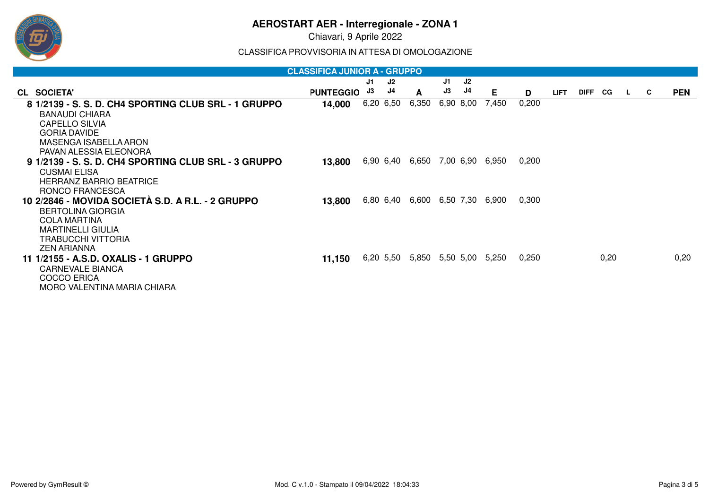

Chiavari, 9 Aprile 2022

CLASSIFICA PROVVISORIA IN ATTESA DI OMOLOGAZIONE

|                                                                                                                                                                                     | <b>CLASSIFICA JUNIOR A - GRUPPO</b> |           |           |                                 |    |           |       |       |             |         |      |              |    |            |
|-------------------------------------------------------------------------------------------------------------------------------------------------------------------------------------|-------------------------------------|-----------|-----------|---------------------------------|----|-----------|-------|-------|-------------|---------|------|--------------|----|------------|
|                                                                                                                                                                                     |                                     | J1        | J2        |                                 | J1 | J2        |       |       |             |         |      |              |    |            |
| CL SOCIETA'                                                                                                                                                                         | <b>PUNTEGGIO</b>                    | J3        | J4        | A                               | J3 | J4        | Е     | D     | <b>LIFT</b> | DIFF CG |      | $\mathbf{L}$ | C. | <b>PEN</b> |
| 8 1/2139 - S. S. D. CH4 SPORTING CLUB SRL - 1 GRUPPO<br><b>BANAUDI CHIARA</b><br><b>CAPELLO SILVIA</b><br><b>GORIA DAVIDE</b><br>MASENGA ISABELLA ARON                              | 14,000                              | 6,20 6,50 |           | 6,350                           |    | 6,90 8,00 | 7,450 | 0,200 |             |         |      |              |    |            |
| PAVAN ALESSIA ELEONORA<br>9 1/2139 - S. S. D. CH4 SPORTING CLUB SRL - 3 GRUPPO<br><b>CUSMAI ELISA</b><br><b>HERRANZ BARRIO BEATRICE</b><br>RONCO FRANCESCA                          | 13,800                              |           | 6,90 6,40 | 6,650                           |    | 7,00 6,90 | 6,950 | 0,200 |             |         |      |              |    |            |
| 10 2/2846 - MOVIDA SOCIETÀ S.D. A R.L. - 2 GRUPPO<br><b>BERTOLINA GIORGIA</b><br><b>COLA MARTINA</b><br><b>MARTINELLI GIULIA</b><br><b>TRABUCCHI VITTORIA</b><br><b>ZEN ARIANNA</b> | 13,800                              |           |           | 6,80 6,40 6,600 6,50 7,30 6,900 |    |           |       | 0,300 |             |         |      |              |    |            |
| 11 1/2155 - A.S.D. OXALIS - 1 GRUPPO<br><b>CARNEVALE BIANCA</b><br><b>COCCO ERICA</b><br>MORO VALENTINA MARIA CHIARA                                                                | 11,150                              |           |           | 6,20 5,50 5,850 5,50 5,00       |    |           | 5,250 | 0,250 |             |         | 0,20 |              |    | 0,20       |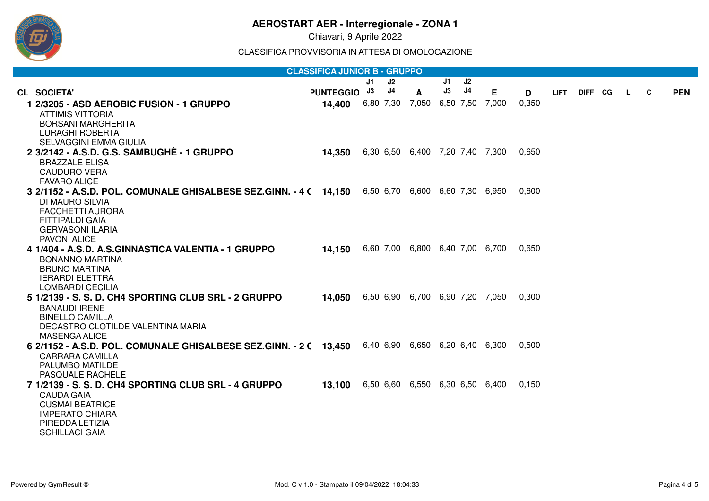

Chiavari, 9 Aprile 2022

CLASSIFICA PROVVISORIA IN ATTESA DI OMOLOGAZIONE

|                                                                                                   | <b>CLASSIFICA JUNIOR B - GRUPPO</b> |           |    |                                 |     |                |       |       |             |         |    |   |            |
|---------------------------------------------------------------------------------------------------|-------------------------------------|-----------|----|---------------------------------|-----|----------------|-------|-------|-------------|---------|----|---|------------|
|                                                                                                   |                                     | J1.       | J2 |                                 | J1. | J2             |       |       |             |         |    |   |            |
| CL SOCIETA'                                                                                       | <b>PUNTEGGIO</b>                    | J3        | J4 | A                               | J3  | J <sub>4</sub> | Е     | D     | <b>LIFT</b> | DIFF CG | L. | C | <b>PEN</b> |
| 1 2/3205 - ASD AEROBIC FUSION - 1 GRUPPO                                                          | 14,400                              | 6,80 7,30 |    | 7,050 6,50 7,50                 |     |                | 7,000 | 0.350 |             |         |    |   |            |
| <b>ATTIMIS VITTORIA</b>                                                                           |                                     |           |    |                                 |     |                |       |       |             |         |    |   |            |
| <b>BORSANI MARGHERITA</b>                                                                         |                                     |           |    |                                 |     |                |       |       |             |         |    |   |            |
| <b>LURAGHI ROBERTA</b><br><b>SELVAGGINI EMMA GIULIA</b>                                           |                                     |           |    |                                 |     |                |       |       |             |         |    |   |            |
| 2 3/2142 - A.S.D. G.S. SAMBUGHE - 1 GRUPPO                                                        | 14,350                              |           |    | 6,30 6,50 6,400 7,20 7,40 7,300 |     |                |       | 0,650 |             |         |    |   |            |
| <b>BRAZZALE ELISA</b>                                                                             |                                     |           |    |                                 |     |                |       |       |             |         |    |   |            |
| <b>CAUDURO VERA</b>                                                                               |                                     |           |    |                                 |     |                |       |       |             |         |    |   |            |
| <b>FAVARO ALICE</b>                                                                               |                                     |           |    |                                 |     |                |       |       |             |         |    |   |            |
| 3 2/1152 - A.S.D. POL. COMUNALE GHISALBESE SEZ.GINN. - 4 ( 14,150 6,50 6,70 6,600 6,60 7,30 6,950 |                                     |           |    |                                 |     |                |       | 0.600 |             |         |    |   |            |
| DI MAURO SILVIA                                                                                   |                                     |           |    |                                 |     |                |       |       |             |         |    |   |            |
| <b>FACCHETTI AURORA</b>                                                                           |                                     |           |    |                                 |     |                |       |       |             |         |    |   |            |
| <b>FITTIPALDI GAIA</b>                                                                            |                                     |           |    |                                 |     |                |       |       |             |         |    |   |            |
| <b>GERVASONI ILARIA</b><br><b>PAVONI ALICE</b>                                                    |                                     |           |    |                                 |     |                |       |       |             |         |    |   |            |
| 4 1/404 - A.S.D. A.S.GINNASTICA VALENTIA - 1 GRUPPO                                               | 14,150                              |           |    | 6,60 7,00 6,800 6,40 7,00 6,700 |     |                |       | 0,650 |             |         |    |   |            |
| <b>BONANNO MARTINA</b>                                                                            |                                     |           |    |                                 |     |                |       |       |             |         |    |   |            |
| <b>BRUNO MARTINA</b>                                                                              |                                     |           |    |                                 |     |                |       |       |             |         |    |   |            |
| <b>IERARDI ELETTRA</b>                                                                            |                                     |           |    |                                 |     |                |       |       |             |         |    |   |            |
| <b>LOMBARDI CECILIA</b>                                                                           |                                     |           |    |                                 |     |                |       |       |             |         |    |   |            |
| 5 1/2139 - S. S. D. CH4 SPORTING CLUB SRL - 2 GRUPPO                                              | 14,050                              |           |    | 6,50 6,90 6,700 6,90 7,20 7,050 |     |                |       | 0.300 |             |         |    |   |            |
| <b>BANAUDI IRENE</b>                                                                              |                                     |           |    |                                 |     |                |       |       |             |         |    |   |            |
| <b>BINELLO CAMILLA</b><br>DECASTRO CLOTILDE VALENTINA MARIA                                       |                                     |           |    |                                 |     |                |       |       |             |         |    |   |            |
| <b>MASENGA ALICE</b>                                                                              |                                     |           |    |                                 |     |                |       |       |             |         |    |   |            |
| 6 2/1152 - A.S.D. POL. COMUNALE GHISALBESE SEZ.GINN. - 2 ( 13,450 6,40 6,90 6,650 6,20 6,40 6,300 |                                     |           |    |                                 |     |                |       | 0.500 |             |         |    |   |            |
| <b>CARRARA CAMILLA</b>                                                                            |                                     |           |    |                                 |     |                |       |       |             |         |    |   |            |
| PALUMBO MATILDE                                                                                   |                                     |           |    |                                 |     |                |       |       |             |         |    |   |            |
| PASQUALE RACHELE                                                                                  |                                     |           |    |                                 |     |                |       |       |             |         |    |   |            |
| 7 1/2139 - S. S. D. CH4 SPORTING CLUB SRL - 4 GRUPPO                                              | 13,100                              |           |    | 6,50 6,60 6,550 6,30 6,50 6,400 |     |                |       | 0,150 |             |         |    |   |            |
| <b>CAUDA GAIA</b>                                                                                 |                                     |           |    |                                 |     |                |       |       |             |         |    |   |            |
| <b>CUSMAI BEATRICE</b><br><b>IMPERATO CHIARA</b>                                                  |                                     |           |    |                                 |     |                |       |       |             |         |    |   |            |
| PIREDDA LETIZIA                                                                                   |                                     |           |    |                                 |     |                |       |       |             |         |    |   |            |
| <b>SCHILLACI GAIA</b>                                                                             |                                     |           |    |                                 |     |                |       |       |             |         |    |   |            |
|                                                                                                   |                                     |           |    |                                 |     |                |       |       |             |         |    |   |            |